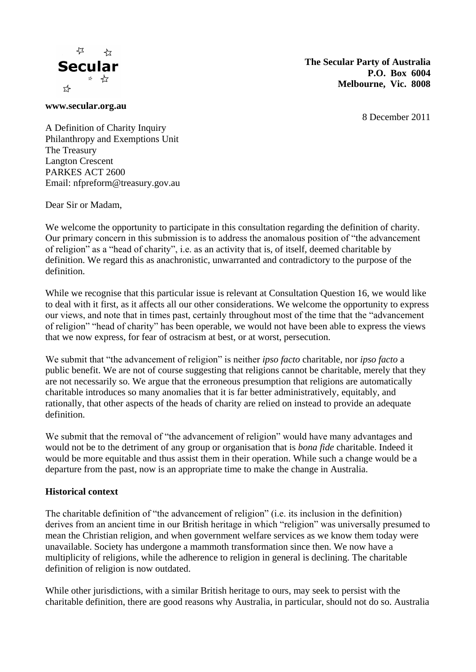

**The Secular Party of Australia P.O. Box 6004 Melbourne, Vic. 8008**

**www.secular.org.au**

8 December 2011

A Definition of Charity Inquiry Philanthropy and Exemptions Unit The Treasury Langton Crescent PARKES ACT 2600 Email: nfpreform@treasury.gov.au

Dear Sir or Madam,

We welcome the opportunity to participate in this consultation regarding the definition of charity. Our primary concern in this submission is to address the anomalous position of "the advancement of religion" as a "head of charity", i.e. as an activity that is, of itself, deemed charitable by definition. We regard this as anachronistic, unwarranted and contradictory to the purpose of the definition.

While we recognise that this particular issue is relevant at Consultation Question 16, we would like to deal with it first, as it affects all our other considerations. We welcome the opportunity to express our views, and note that in times past, certainly throughout most of the time that the "advancement of religion" "head of charity" has been operable, we would not have been able to express the views that we now express, for fear of ostracism at best, or at worst, persecution.

We submit that "the advancement of religion" is neither *ipso facto* charitable, nor *ipso facto* a public benefit. We are not of course suggesting that religions cannot be charitable, merely that they are not necessarily so. We argue that the erroneous presumption that religions are automatically charitable introduces so many anomalies that it is far better administratively, equitably, and rationally, that other aspects of the heads of charity are relied on instead to provide an adequate definition.

We submit that the removal of "the advancement of religion" would have many advantages and would not be to the detriment of any group or organisation that is *bona fide* charitable. Indeed it would be more equitable and thus assist them in their operation. While such a change would be a departure from the past, now is an appropriate time to make the change in Australia.

#### **Historical context**

The charitable definition of "the advancement of religion" (i.e. its inclusion in the definition) derives from an ancient time in our British heritage in which "religion" was universally presumed to mean the Christian religion, and when government welfare services as we know them today were unavailable. Society has undergone a mammoth transformation since then. We now have a multiplicity of religions, while the adherence to religion in general is declining. The charitable definition of religion is now outdated.

While other jurisdictions, with a similar British heritage to ours, may seek to persist with the charitable definition, there are good reasons why Australia, in particular, should not do so. Australia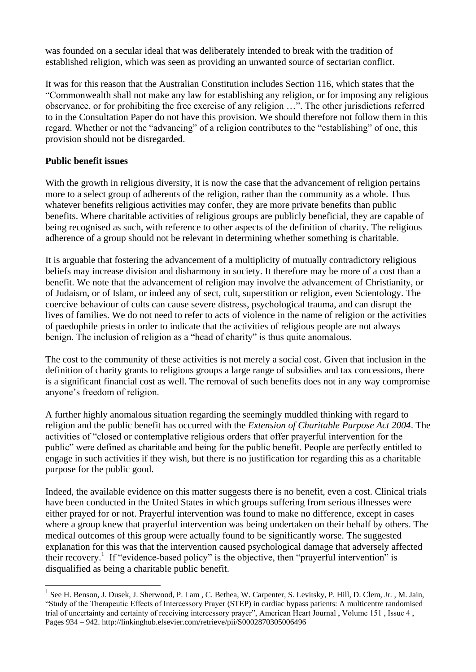was founded on a secular ideal that was deliberately intended to break with the tradition of established religion, which was seen as providing an unwanted source of sectarian conflict.

It was for this reason that the Australian Constitution includes Section 116, which states that the "Commonwealth shall not make any law for establishing any religion, or for imposing any religious observance, or for prohibiting the free exercise of any religion …". The other jurisdictions referred to in the Consultation Paper do not have this provision. We should therefore not follow them in this regard. Whether or not the "advancing" of a religion contributes to the "establishing" of one, this provision should not be disregarded.

## **Public benefit issues**

 $\overline{a}$ 

With the growth in religious diversity, it is now the case that the advancement of religion pertains more to a select group of adherents of the religion, rather than the community as a whole. Thus whatever benefits religious activities may confer, they are more private benefits than public benefits. Where charitable activities of religious groups are publicly beneficial, they are capable of being recognised as such, with reference to other aspects of the definition of charity. The religious adherence of a group should not be relevant in determining whether something is charitable.

It is arguable that fostering the advancement of a multiplicity of mutually contradictory religious beliefs may increase division and disharmony in society. It therefore may be more of a cost than a benefit. We note that the advancement of religion may involve the advancement of Christianity, or of Judaism, or of Islam, or indeed any of sect, cult, superstition or religion, even Scientology. The coercive behaviour of cults can cause severe distress, psychological trauma, and can disrupt the lives of families. We do not need to refer to acts of violence in the name of religion or the activities of paedophile priests in order to indicate that the activities of religious people are not always benign. The inclusion of religion as a "head of charity" is thus quite anomalous.

The cost to the community of these activities is not merely a social cost. Given that inclusion in the definition of charity grants to religious groups a large range of subsidies and tax concessions, there is a significant financial cost as well. The removal of such benefits does not in any way compromise anyone's freedom of religion.

A further highly anomalous situation regarding the seemingly muddled thinking with regard to religion and the public benefit has occurred with the *Extension of Charitable Purpose Act 2004*. The activities of "closed or contemplative religious orders that offer prayerful intervention for the public" were defined as charitable and being for the public benefit. People are perfectly entitled to engage in such activities if they wish, but there is no justification for regarding this as a charitable purpose for the public good.

Indeed, the available evidence on this matter suggests there is no benefit, even a cost. Clinical trials have been conducted in the United States in which groups suffering from serious illnesses were either prayed for or not. Prayerful intervention was found to make no difference, except in cases where a group knew that prayerful intervention was being undertaken on their behalf by others. The medical outcomes of this group were actually found to be significantly worse. The suggested explanation for this was that the intervention caused psychological damage that adversely affected their recovery.<sup>1</sup> If "evidence-based policy" is the objective, then "prayerful intervention" is disqualified as being a charitable public benefit.

<sup>&</sup>lt;sup>1</sup> See H. Benson, J. Dusek, J. Sherwood, P. Lam, C. Bethea, W. Carpenter, S. Levitsky, P. Hill, D. Clem, Jr., M. Jain, "Study of the Therapeutic Effects of Intercessory Prayer (STEP) in cardiac bypass patients: A multicentre randomised trial of uncertainty and certainty of receiving intercessory prayer", American Heart Journal , Volume 151 , Issue 4 , Pages 934 – 942. http://linkinghub.elsevier.com/retrieve/pii/S0002870305006496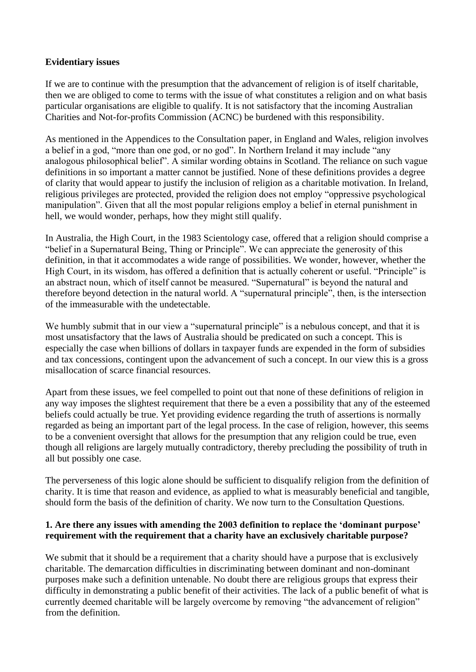### **Evidentiary issues**

If we are to continue with the presumption that the advancement of religion is of itself charitable, then we are obliged to come to terms with the issue of what constitutes a religion and on what basis particular organisations are eligible to qualify. It is not satisfactory that the incoming Australian Charities and Not-for-profits Commission (ACNC) be burdened with this responsibility.

As mentioned in the Appendices to the Consultation paper, in England and Wales, religion involves a belief in a god, "more than one god, or no god". In Northern Ireland it may include "any analogous philosophical belief". A similar wording obtains in Scotland. The reliance on such vague definitions in so important a matter cannot be justified. None of these definitions provides a degree of clarity that would appear to justify the inclusion of religion as a charitable motivation. In Ireland, religious privileges are protected, provided the religion does not employ "oppressive psychological manipulation". Given that all the most popular religions employ a belief in eternal punishment in hell, we would wonder, perhaps, how they might still qualify.

In Australia, the High Court, in the 1983 Scientology case, offered that a religion should comprise a "belief in a Supernatural Being, Thing or Principle". We can appreciate the generosity of this definition, in that it accommodates a wide range of possibilities. We wonder, however, whether the High Court, in its wisdom, has offered a definition that is actually coherent or useful. "Principle" is an abstract noun, which of itself cannot be measured. "Supernatural" is beyond the natural and therefore beyond detection in the natural world. A "supernatural principle", then, is the intersection of the immeasurable with the undetectable.

We humbly submit that in our view a "supernatural principle" is a nebulous concept, and that it is most unsatisfactory that the laws of Australia should be predicated on such a concept. This is especially the case when billions of dollars in taxpayer funds are expended in the form of subsidies and tax concessions, contingent upon the advancement of such a concept. In our view this is a gross misallocation of scarce financial resources.

Apart from these issues, we feel compelled to point out that none of these definitions of religion in any way imposes the slightest requirement that there be a even a possibility that any of the esteemed beliefs could actually be true. Yet providing evidence regarding the truth of assertions is normally regarded as being an important part of the legal process. In the case of religion, however, this seems to be a convenient oversight that allows for the presumption that any religion could be true, even though all religions are largely mutually contradictory, thereby precluding the possibility of truth in all but possibly one case.

The perverseness of this logic alone should be sufficient to disqualify religion from the definition of charity. It is time that reason and evidence, as applied to what is measurably beneficial and tangible, should form the basis of the definition of charity. We now turn to the Consultation Questions.

### **1. Are there any issues with amending the 2003 definition to replace the 'dominant purpose' requirement with the requirement that a charity have an exclusively charitable purpose?**

We submit that it should be a requirement that a charity should have a purpose that is exclusively charitable. The demarcation difficulties in discriminating between dominant and non-dominant purposes make such a definition untenable. No doubt there are religious groups that express their difficulty in demonstrating a public benefit of their activities. The lack of a public benefit of what is currently deemed charitable will be largely overcome by removing "the advancement of religion" from the definition.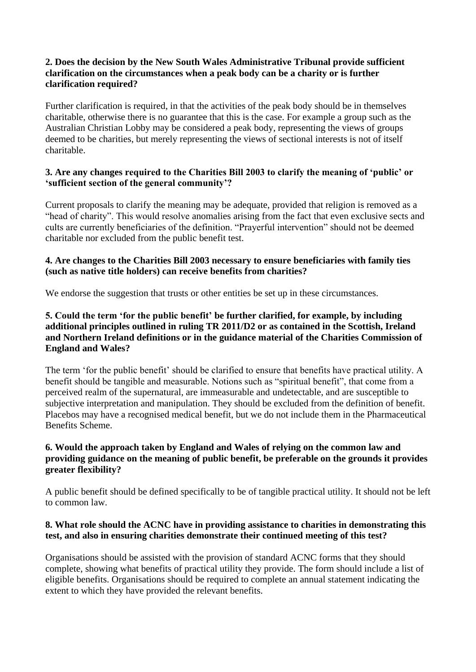## **2. Does the decision by the New South Wales Administrative Tribunal provide sufficient clarification on the circumstances when a peak body can be a charity or is further clarification required?**

Further clarification is required, in that the activities of the peak body should be in themselves charitable, otherwise there is no guarantee that this is the case. For example a group such as the Australian Christian Lobby may be considered a peak body, representing the views of groups deemed to be charities, but merely representing the views of sectional interests is not of itself charitable.

## **3. Are any changes required to the Charities Bill 2003 to clarify the meaning of 'public' or 'sufficient section of the general community'?**

Current proposals to clarify the meaning may be adequate, provided that religion is removed as a "head of charity". This would resolve anomalies arising from the fact that even exclusive sects and cults are currently beneficiaries of the definition. "Prayerful intervention" should not be deemed charitable nor excluded from the public benefit test.

# **4. Are changes to the Charities Bill 2003 necessary to ensure beneficiaries with family ties (such as native title holders) can receive benefits from charities?**

We endorse the suggestion that trusts or other entities be set up in these circumstances.

## **5. Could the term 'for the public benefit' be further clarified, for example, by including additional principles outlined in ruling TR 2011/D2 or as contained in the Scottish, Ireland and Northern Ireland definitions or in the guidance material of the Charities Commission of England and Wales?**

The term 'for the public benefit' should be clarified to ensure that benefits have practical utility. A benefit should be tangible and measurable. Notions such as "spiritual benefit", that come from a perceived realm of the supernatural, are immeasurable and undetectable, and are susceptible to subjective interpretation and manipulation. They should be excluded from the definition of benefit. Placebos may have a recognised medical benefit, but we do not include them in the Pharmaceutical Benefits Scheme.

# **6. Would the approach taken by England and Wales of relying on the common law and providing guidance on the meaning of public benefit, be preferable on the grounds it provides greater flexibility?**

A public benefit should be defined specifically to be of tangible practical utility. It should not be left to common law.

## **8. What role should the ACNC have in providing assistance to charities in demonstrating this test, and also in ensuring charities demonstrate their continued meeting of this test?**

Organisations should be assisted with the provision of standard ACNC forms that they should complete, showing what benefits of practical utility they provide. The form should include a list of eligible benefits. Organisations should be required to complete an annual statement indicating the extent to which they have provided the relevant benefits.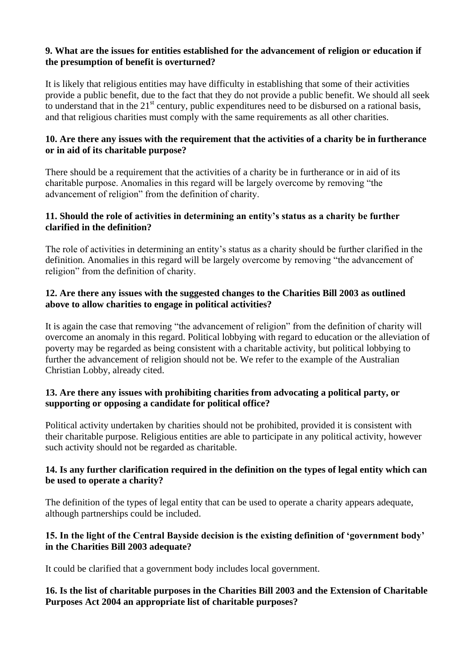### **9. What are the issues for entities established for the advancement of religion or education if the presumption of benefit is overturned?**

It is likely that religious entities may have difficulty in establishing that some of their activities provide a public benefit, due to the fact that they do not provide a public benefit. We should all seek to understand that in the  $21<sup>st</sup>$  century, public expenditures need to be disbursed on a rational basis, and that religious charities must comply with the same requirements as all other charities.

## **10. Are there any issues with the requirement that the activities of a charity be in furtherance or in aid of its charitable purpose?**

There should be a requirement that the activities of a charity be in furtherance or in aid of its charitable purpose. Anomalies in this regard will be largely overcome by removing "the advancement of religion" from the definition of charity.

### **11. Should the role of activities in determining an entity's status as a charity be further clarified in the definition?**

The role of activities in determining an entity's status as a charity should be further clarified in the definition. Anomalies in this regard will be largely overcome by removing "the advancement of religion" from the definition of charity.

## **12. Are there any issues with the suggested changes to the Charities Bill 2003 as outlined above to allow charities to engage in political activities?**

It is again the case that removing "the advancement of religion" from the definition of charity will overcome an anomaly in this regard. Political lobbying with regard to education or the alleviation of poverty may be regarded as being consistent with a charitable activity, but political lobbying to further the advancement of religion should not be. We refer to the example of the Australian Christian Lobby, already cited.

## **13. Are there any issues with prohibiting charities from advocating a political party, or supporting or opposing a candidate for political office?**

Political activity undertaken by charities should not be prohibited, provided it is consistent with their charitable purpose. Religious entities are able to participate in any political activity, however such activity should not be regarded as charitable.

## **14. Is any further clarification required in the definition on the types of legal entity which can be used to operate a charity?**

The definition of the types of legal entity that can be used to operate a charity appears adequate, although partnerships could be included.

# **15. In the light of the Central Bayside decision is the existing definition of 'government body' in the Charities Bill 2003 adequate?**

It could be clarified that a government body includes local government.

# **16. Is the list of charitable purposes in the Charities Bill 2003 and the Extension of Charitable Purposes Act 2004 an appropriate list of charitable purposes?**